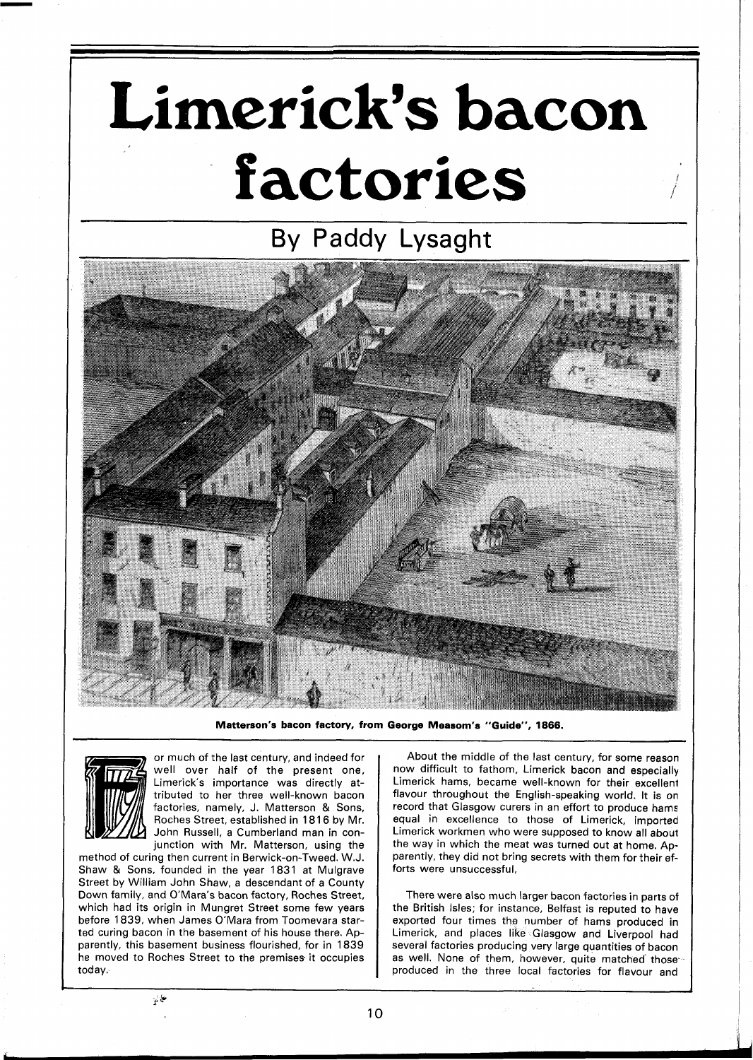## **Limerick's bacon factories**

## By Paddy Lysaght



**Matterson's bacon factory, from George Measom's "Guide", 1866.** 



or much of the last century, and indeed for well over half of the present one, Limerick's importance was directly attributed to her three well-known bacon factories, namely, J. Matterson & Sons, Roches Street, established in 1816 by Mr. John Russell, a Cumberland man in conjunction with Mr. Matterson, using the

method of curing then current in Berwick-on-Tweed. W.J. Shaw & Sons, founded in the year 1831 at Mulgrave Street by William John Shaw, a descendant of a County Down family, and O'Mara's bacon factory, Roches Street, which had its origin in Mungret Street some few years before 1839, when James O'Mara from Toomevara started curing bacon in the basement of his house there. Apparently, this basement business flourished, for in 1839 he moved to Roches Street to the premises it occupies today.

About the middle of the last century, for some reason now difficult to fathom, Limerick bacon and especially Limerick hams, became well-known for their excellent flavour throughout the English-speaking world. It is on record that Glasgow curers in an effort to produce hams equal in excellence to those of Limerick, imported Limerick workmen who were supposed to know all about the way in which the meat was turned out at home. Apparently, they did not bring secrets with them for their efforts were unsuccessful,

There were also much larger bacon factories in parts of the British Isles; for instance, Belfast is reputed to have exported four times the number of hams produced in Limerick, and places like Glasgow and Liverpool had several factories producing very large quantities of bacon as well. None of them, however, quite matched' those produced in the three local factories for flavour and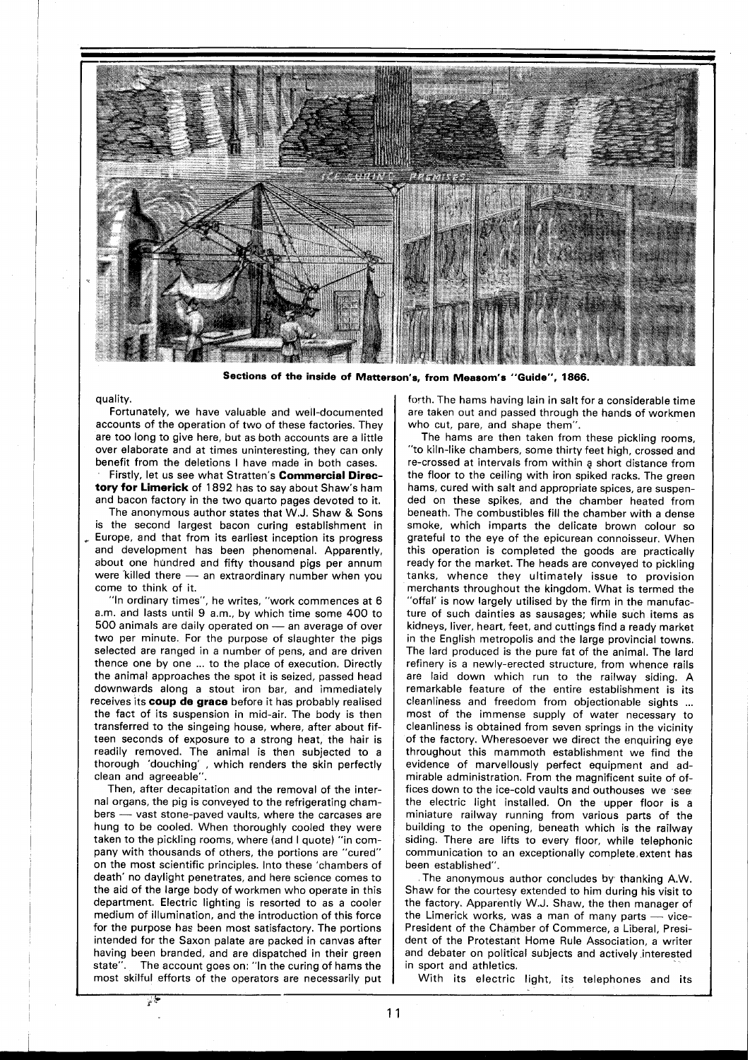

**Sections of the inside of Matterson's, from Measom's "Guide", 1866.** 

## quality.

Fortunately, we have valuable and well-documented accounts of the operation of two of these factories. They are too long to give here, but as both accounts are a little over elaborate and at times uninteresting, they can only benefit from the deletions I have made in both cases.

Firstly, let us see what Stratten's **Commercial Directory for Limerick** of **1892** has to say about Shaw's ham and bacon factory in the two quarto pages devoted to it.

The anonymous author states that W.J. Shaw & Sons is the second largest bacon curing establishment in Europe, and that from its earliest inception its progress and development has been phenomenal. Apparently, about one hundred and fifty thousand pigs per annum and development has been phenomenal. Apparently,<br>about one hundred and fifty thousand pigs per annum<br>were killed there — an extraordinary number when you come to think of it.

'In ordinary times", he writes, "work commences at 6 am. and lasts until 9 am., by which time some 400 to "In ordinary times", he writes, "work commences at 6<br> $500$  animals are daily operated on  $-$  an average of over<br> $500$  animals are daily operated on  $-$  an average of over<br> $500$  per minute. For the purpose of elevators the two per minute. For the purpose of slaughter the pigs selected are ranged in a number of pens, and are driven thence one by one ... to the place of execution. Directly the animal approaches the spot it is seized, passed head downwards along a stout iron bar, and immediately receives its **coup** de **grace** before it has probably realised the fact of its suspension in mid-air. The body is then transferred to the singeing house, where, after about fifteen seconds of exposure to a strong heat, the hair is readily removed. The animal is then subjected to a thorough 'douching' , which renders the skin perfectly clean and agreeable".

Then, after decapitation and the removal of the internal organs, the pig is conveyed to the refrigerating chambers - vast stone-paved vaults, where the carcases are hung to be cooled. When thoroughly cooled they were taken to the pickling rooms, where (and I quote) "in company with thousands of others, the portions are "cured" on the most scientific principles. Into these 'chambers of death' no daylight penetrates, and here science comes to the aid of the large body of workmen who operate in this department. Electric lighting is resorted to as a cooler medium of illumination, and the introduction of this force for the purpose has been most satisfactory. The portions intended for the Saxon palate are packed in canvas after having been branded, and are dispatched in their green state". The account goes on: "In the curing of hams the most skilful efforts of the operators are necessarily put

 $\mathbb{F}^{\mathbb{C}}$ 

forth. The hams having lain in salt for a considerable time are taken out and passed through the hands of workmen who cut, pare, and shape them".

The hams are then taken from these pickling rooms, "to kiln-like chambers, some thirty feet high, crossed and re-crossed at intervals from within **q** short distance from the floor to the ceiling with iron spiked racks. The green hams, cured with salt and appropriate spices, are suspended on these spikes, and the chamber heated from beneath. The combustibles fill the chamber with a dense smoke, which imparts the delicate brown colour so grateful to the eye of the epicurean connoisseur. When this operation is completed the goods are practically ready for the market. The heads are conveyed to pickling tanks, whence they ultimately issue to provision merchants throughout the kingdom. What is termed the "offal' is now largely utilised by the firm in the manufacture of such dainties as sausages; while such items as kidneys, liver, heart, feet, and cuttings find a ready market in the English metropolis and the large provincial towns. The lard produced is the pure fat of the animal. The lard refinery is a newly-erected structure, from whence rails are laid down which run to the railway siding. A remarkable feature of the entire establishment is its cleanliness and freedom from objectionable sights ... most of the immense supply of water necessary to cleanliness is obtained from seven springs in the vicinity of the factory. Wheresoever we direct the enquiring eye throughout this mammoth establishment we find the evidence of marvellously perfect equipment and admirable administration. From the magnificent suite of offices down to the ice-cold vaults and outhouses we see the electric light installed. On the upper floor is a miniature railway running from various parts of the building to the opening, beneath which is the railway siding. There are lifts to every floor, while telephonic communication to an exceptionally complete,extent has been established".

The anonymous author concludes by thanking A.W. Shaw for the courtesy extended to him during his visit to the factory. Apparently W.J. Shaw, the then manager of Shaw for the courtesy extended to him during his visit to the factory. Apparently W.J. Shaw, the then manager of the Limerick works, was a man of many parts - vice-President of the Chamber of Commerce, a Liberal, President of the Protestant Home Rule Association, a writer and debater on political subjects and actively interested in sport and athletics.

With its electric light, its telephones and its